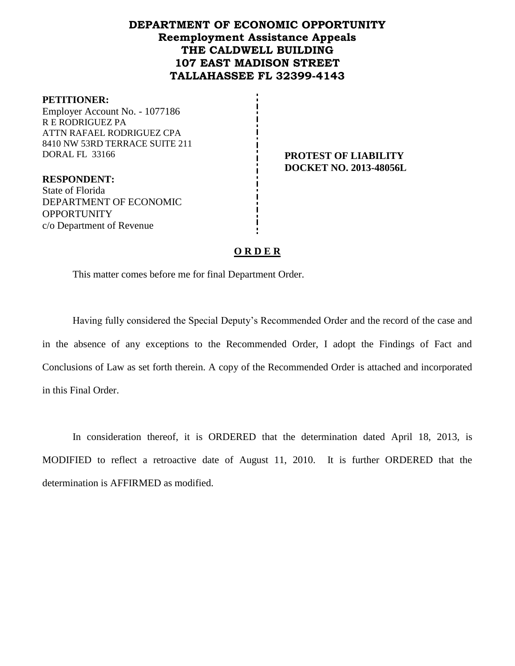# **DEPARTMENT OF ECONOMIC OPPORTUNITY Reemployment Assistance Appeals THE CALDWELL BUILDING 107 EAST MADISON STREET TALLAHASSEE FL 32399-4143**

#### **PETITIONER:**

Employer Account No. - 1077186 R E RODRIGUEZ PA ATTN RAFAEL RODRIGUEZ CPA 8410 NW 53RD TERRACE SUITE 211 DORAL FL 33166 **PROTEST OF LIABILITY**

**RESPONDENT:** State of Florida DEPARTMENT OF ECONOMIC OPPORTUNITY c/o Department of Revenue

**DOCKET NO. 2013-48056L**

## **O R D E R**

This matter comes before me for final Department Order.

Having fully considered the Special Deputy's Recommended Order and the record of the case and in the absence of any exceptions to the Recommended Order, I adopt the Findings of Fact and Conclusions of Law as set forth therein. A copy of the Recommended Order is attached and incorporated in this Final Order.

In consideration thereof, it is ORDERED that the determination dated April 18, 2013, is MODIFIED to reflect a retroactive date of August 11, 2010. It is further ORDERED that the determination is AFFIRMED as modified.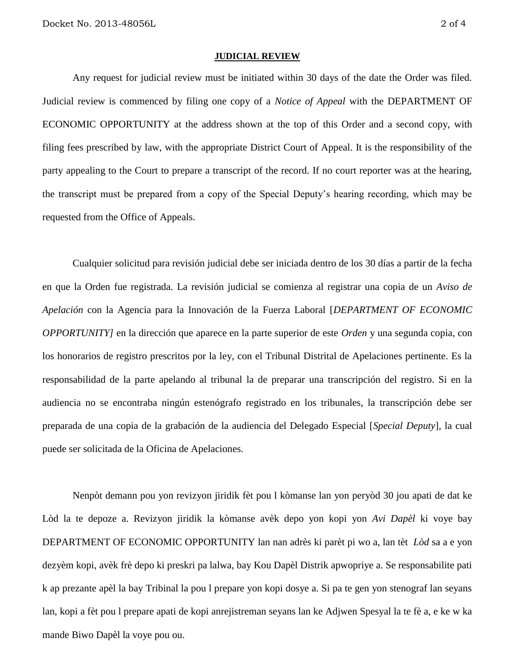#### **JUDICIAL REVIEW**

Any request for judicial review must be initiated within 30 days of the date the Order was filed. Judicial review is commenced by filing one copy of a *Notice of Appeal* with the DEPARTMENT OF ECONOMIC OPPORTUNITY at the address shown at the top of this Order and a second copy, with filing fees prescribed by law, with the appropriate District Court of Appeal. It is the responsibility of the party appealing to the Court to prepare a transcript of the record. If no court reporter was at the hearing, the transcript must be prepared from a copy of the Special Deputy's hearing recording, which may be requested from the Office of Appeals.

Cualquier solicitud para revisión judicial debe ser iniciada dentro de los 30 días a partir de la fecha en que la Orden fue registrada. La revisión judicial se comienza al registrar una copia de un *Aviso de Apelación* con la Agencia para la Innovación de la Fuerza Laboral [*DEPARTMENT OF ECONOMIC OPPORTUNITY]* en la dirección que aparece en la parte superior de este *Orden* y una segunda copia, con los honorarios de registro prescritos por la ley, con el Tribunal Distrital de Apelaciones pertinente. Es la responsabilidad de la parte apelando al tribunal la de preparar una transcripción del registro. Si en la audiencia no se encontraba ningún estenógrafo registrado en los tribunales, la transcripción debe ser preparada de una copia de la grabación de la audiencia del Delegado Especial [*Special Deputy*], la cual puede ser solicitada de la Oficina de Apelaciones.

Nenpòt demann pou yon revizyon jiridik fèt pou l kòmanse lan yon peryòd 30 jou apati de dat ke Lòd la te depoze a. Revizyon jiridik la kòmanse avèk depo yon kopi yon *Avi Dapèl* ki voye bay DEPARTMENT OF ECONOMIC OPPORTUNITY lan nan adrès ki parèt pi wo a, lan tèt *Lòd* sa a e yon dezyèm kopi, avèk frè depo ki preskri pa lalwa, bay Kou Dapèl Distrik apwopriye a. Se responsabilite pati k ap prezante apèl la bay Tribinal la pou l prepare yon kopi dosye a. Si pa te gen yon stenograf lan seyans lan, kopi a fèt pou l prepare apati de kopi anrejistreman seyans lan ke Adjwen Spesyal la te fè a, e ke w ka mande Biwo Dapèl la voye pou ou.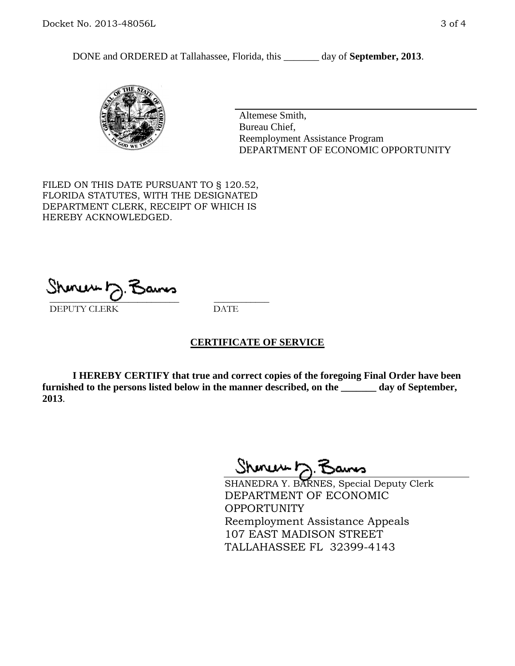DONE and ORDERED at Tallahassee, Florida, this \_\_\_\_\_\_\_ day of **September, 2013**.



Altemese Smith, Bureau Chief, Reemployment Assistance Program DEPARTMENT OF ECONOMIC OPPORTUNITY

FILED ON THIS DATE PURSUANT TO § 120.52, FLORIDA STATUTES, WITH THE DESIGNATED DEPARTMENT CLERK, RECEIPT OF WHICH IS HEREBY ACKNOWLEDGED.

 $\overline{\phantom{a}}$  ,  $\overline{\phantom{a}}$  ,  $\overline{\phantom{a}}$  ,  $\overline{\phantom{a}}$  ,  $\overline{\phantom{a}}$  ,  $\overline{\phantom{a}}$  ,  $\overline{\phantom{a}}$  ,  $\overline{\phantom{a}}$ DEPUTY CLERK DATE

#### **CERTIFICATE OF SERVICE**

**I HEREBY CERTIFY that true and correct copies of the foregoing Final Order have been furnished to the persons listed below in the manner described, on the \_\_\_\_\_\_\_ day of September, 2013**.

Shoner D. Bans

SHANEDRA Y. BARNES, Special Deputy Clerk DEPARTMENT OF ECONOMIC OPPORTUNITY Reemployment Assistance Appeals 107 EAST MADISON STREET TALLAHASSEE FL 32399-4143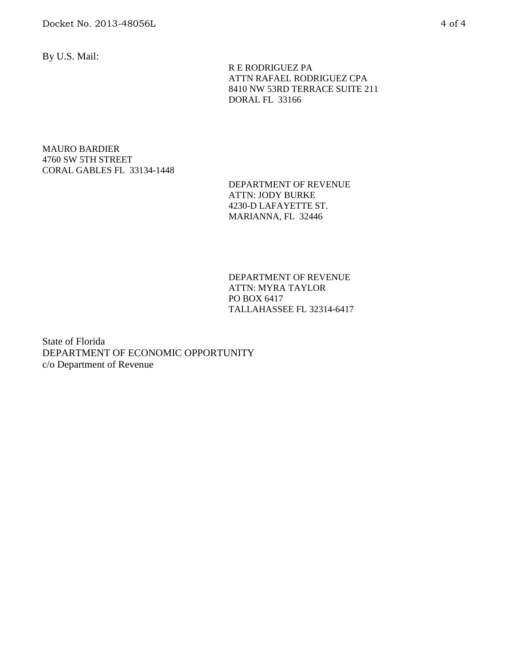By U.S. Mail:

 R E RODRIGUEZ PA ATTN RAFAEL RODRIGUEZ CPA 8410 NW 53RD TERRACE SUITE 211 DORAL FL 33166

#### MAURO BARDIER 4760 SW 5TH STREET CORAL GABLES FL 33134-1448

DEPARTMENT OF REVENUE ATTN: JODY BURKE 4230-D LAFAYETTE ST. MARIANNA, FL 32446

DEPARTMENT OF REVENUE ATTN: MYRA TAYLOR PO BOX 6417 TALLAHASSEE FL 32314-6417

State of Florida DEPARTMENT OF ECONOMIC OPPORTUNITY c/o Department of Revenue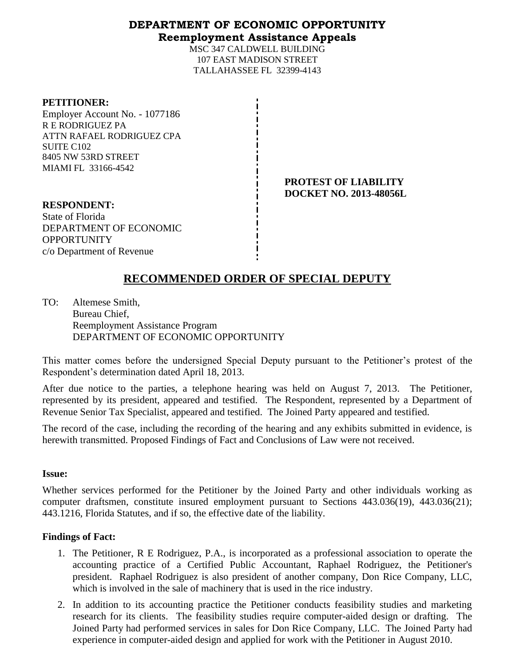#### **DEPARTMENT OF ECONOMIC OPPORTUNITY Reemployment Assistance Appeals**

MSC 347 CALDWELL BUILDING 107 EAST MADISON STREET TALLAHASSEE FL 32399-4143

| <b>PETITIONER:</b> |
|--------------------|
|--------------------|

Employer Account No. - 1077186 R E RODRIGUEZ PA ATTN RAFAEL RODRIGUEZ CPA SUITE C102 8405 NW 53RD STREET MIAMI FL 33166-4542

> **PROTEST OF LIABILITY DOCKET NO. 2013-48056L**

**RESPONDENT:** State of Florida DEPARTMENT OF ECONOMIC **OPPORTUNITY** c/o Department of Revenue

# **RECOMMENDED ORDER OF SPECIAL DEPUTY**

TO: Altemese Smith, Bureau Chief, Reemployment Assistance Program DEPARTMENT OF ECONOMIC OPPORTUNITY

This matter comes before the undersigned Special Deputy pursuant to the Petitioner's protest of the Respondent's determination dated April 18, 2013.

After due notice to the parties, a telephone hearing was held on August 7, 2013. The Petitioner, represented by its president, appeared and testified. The Respondent, represented by a Department of Revenue Senior Tax Specialist, appeared and testified. The Joined Party appeared and testified.

The record of the case, including the recording of the hearing and any exhibits submitted in evidence, is herewith transmitted. Proposed Findings of Fact and Conclusions of Law were not received.

#### **Issue:**

Whether services performed for the Petitioner by the Joined Party and other individuals working as computer draftsmen, constitute insured employment pursuant to Sections 443.036(19), 443.036(21); 443.1216, Florida Statutes, and if so, the effective date of the liability.

#### **Findings of Fact:**

- 1. The Petitioner, R E Rodriguez, P.A., is incorporated as a professional association to operate the accounting practice of a Certified Public Accountant, Raphael Rodriguez, the Petitioner's president. Raphael Rodriguez is also president of another company, Don Rice Company, LLC, which is involved in the sale of machinery that is used in the rice industry.
- 2. In addition to its accounting practice the Petitioner conducts feasibility studies and marketing research for its clients. The feasibility studies require computer-aided design or drafting. The Joined Party had performed services in sales for Don Rice Company, LLC. The Joined Party had experience in computer-aided design and applied for work with the Petitioner in August 2010.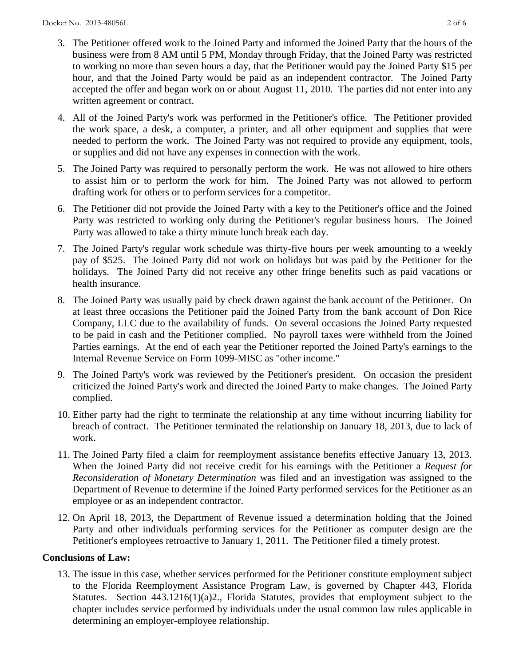- 3. The Petitioner offered work to the Joined Party and informed the Joined Party that the hours of the business were from 8 AM until 5 PM, Monday through Friday, that the Joined Party was restricted to working no more than seven hours a day, that the Petitioner would pay the Joined Party \$15 per hour, and that the Joined Party would be paid as an independent contractor. The Joined Party accepted the offer and began work on or about August 11, 2010. The parties did not enter into any written agreement or contract.
- 4. All of the Joined Party's work was performed in the Petitioner's office. The Petitioner provided the work space, a desk, a computer, a printer, and all other equipment and supplies that were needed to perform the work. The Joined Party was not required to provide any equipment, tools, or supplies and did not have any expenses in connection with the work.
- 5. The Joined Party was required to personally perform the work. He was not allowed to hire others to assist him or to perform the work for him. The Joined Party was not allowed to perform drafting work for others or to perform services for a competitor.
- 6. The Petitioner did not provide the Joined Party with a key to the Petitioner's office and the Joined Party was restricted to working only during the Petitioner's regular business hours. The Joined Party was allowed to take a thirty minute lunch break each day.
- 7. The Joined Party's regular work schedule was thirty-five hours per week amounting to a weekly pay of \$525. The Joined Party did not work on holidays but was paid by the Petitioner for the holidays. The Joined Party did not receive any other fringe benefits such as paid vacations or health insurance.
- 8. The Joined Party was usually paid by check drawn against the bank account of the Petitioner. On at least three occasions the Petitioner paid the Joined Party from the bank account of Don Rice Company, LLC due to the availability of funds. On several occasions the Joined Party requested to be paid in cash and the Petitioner complied. No payroll taxes were withheld from the Joined Parties earnings. At the end of each year the Petitioner reported the Joined Party's earnings to the Internal Revenue Service on Form 1099-MISC as "other income."
- 9. The Joined Party's work was reviewed by the Petitioner's president. On occasion the president criticized the Joined Party's work and directed the Joined Party to make changes. The Joined Party complied.
- 10. Either party had the right to terminate the relationship at any time without incurring liability for breach of contract. The Petitioner terminated the relationship on January 18, 2013, due to lack of work.
- 11. The Joined Party filed a claim for reemployment assistance benefits effective January 13, 2013. When the Joined Party did not receive credit for his earnings with the Petitioner a *Request for Reconsideration of Monetary Determination* was filed and an investigation was assigned to the Department of Revenue to determine if the Joined Party performed services for the Petitioner as an employee or as an independent contractor.
- 12. On April 18, 2013, the Department of Revenue issued a determination holding that the Joined Party and other individuals performing services for the Petitioner as computer design are the Petitioner's employees retroactive to January 1, 2011. The Petitioner filed a timely protest.

## **Conclusions of Law:**

13. The issue in this case, whether services performed for the Petitioner constitute employment subject to the Florida Reemployment Assistance Program Law, is governed by Chapter 443, Florida Statutes. Section 443.1216(1)(a)2., Florida Statutes, provides that employment subject to the chapter includes service performed by individuals under the usual common law rules applicable in determining an employer-employee relationship.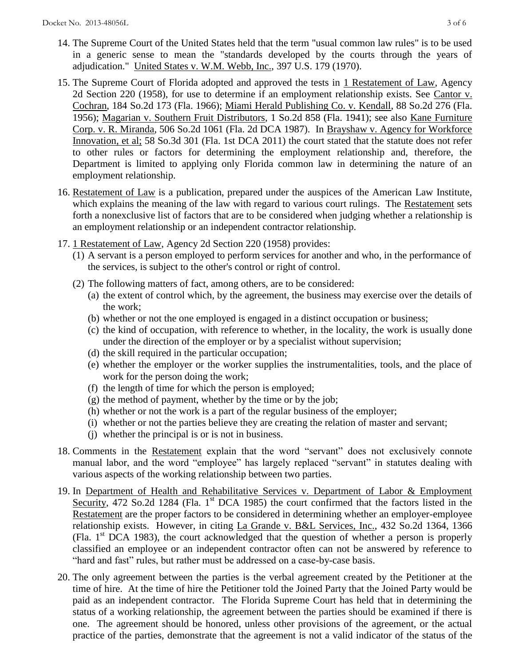- 14. The Supreme Court of the United States held that the term "usual common law rules" is to be used in a generic sense to mean the "standards developed by the courts through the years of adjudication." United States v. W.M. Webb, Inc., 397 U.S. 179 (1970).
- 15. The Supreme Court of Florida adopted and approved the tests in 1 Restatement of Law, Agency 2d Section 220 (1958), for use to determine if an employment relationship exists. See Cantor v. Cochran, 184 So.2d 173 (Fla. 1966); Miami Herald Publishing Co. v. Kendall, 88 So.2d 276 (Fla. 1956); Magarian v. Southern Fruit Distributors, 1 So.2d 858 (Fla. 1941); see also Kane Furniture Corp. v. R. Miranda, 506 So.2d 1061 (Fla. 2d DCA 1987). In Brayshaw v. Agency for Workforce Innovation, et al; 58 So.3d 301 (Fla. 1st DCA 2011) the court stated that the statute does not refer to other rules or factors for determining the employment relationship and, therefore, the Department is limited to applying only Florida common law in determining the nature of an employment relationship.
- 16. Restatement of Law is a publication, prepared under the auspices of the American Law Institute, which explains the meaning of the law with regard to various court rulings. The Restatement sets forth a nonexclusive list of factors that are to be considered when judging whether a relationship is an employment relationship or an independent contractor relationship.
- 17. 1 Restatement of Law, Agency 2d Section 220 (1958) provides:
	- (1) A servant is a person employed to perform services for another and who, in the performance of the services, is subject to the other's control or right of control.
	- (2) The following matters of fact, among others, are to be considered:
		- (a) the extent of control which, by the agreement, the business may exercise over the details of the work;
		- (b) whether or not the one employed is engaged in a distinct occupation or business;
		- (c) the kind of occupation, with reference to whether, in the locality, the work is usually done under the direction of the employer or by a specialist without supervision;
		- (d) the skill required in the particular occupation;
		- (e) whether the employer or the worker supplies the instrumentalities, tools, and the place of work for the person doing the work;
		- (f) the length of time for which the person is employed;
		- (g) the method of payment, whether by the time or by the job;
		- (h) whether or not the work is a part of the regular business of the employer;
		- (i) whether or not the parties believe they are creating the relation of master and servant;
		- (j) whether the principal is or is not in business.
- 18. Comments in the Restatement explain that the word "servant" does not exclusively connote manual labor, and the word "employee" has largely replaced "servant" in statutes dealing with various aspects of the working relationship between two parties.
- 19. In Department of Health and Rehabilitative Services v. Department of Labor & Employment Security, 472 So.2d 1284 (Fla. 1<sup>st</sup> DCA 1985) the court confirmed that the factors listed in the Restatement are the proper factors to be considered in determining whether an employer-employee relationship exists. However, in citing La Grande v. B&L Services, Inc., 432 So.2d 1364, 1366 (Fla.  $1<sup>st</sup> DCA$  1983), the court acknowledged that the question of whether a person is properly classified an employee or an independent contractor often can not be answered by reference to "hard and fast" rules, but rather must be addressed on a case-by-case basis.
- 20. The only agreement between the parties is the verbal agreement created by the Petitioner at the time of hire. At the time of hire the Petitioner told the Joined Party that the Joined Party would be paid as an independent contractor. The Florida Supreme Court has held that in determining the status of a working relationship, the agreement between the parties should be examined if there is one. The agreement should be honored, unless other provisions of the agreement, or the actual practice of the parties, demonstrate that the agreement is not a valid indicator of the status of the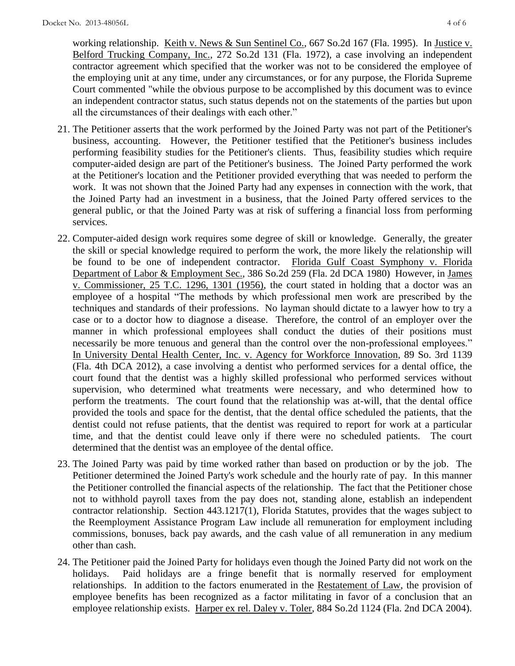working relationship. Keith v. News & Sun Sentinel Co., 667 So.2d 167 (Fla. 1995). In Justice v. Belford Trucking Company, Inc., 272 So.2d 131 (Fla. 1972), a case involving an independent contractor agreement which specified that the worker was not to be considered the employee of the employing unit at any time, under any circumstances, or for any purpose, the Florida Supreme Court commented "while the obvious purpose to be accomplished by this document was to evince an independent contractor status, such status depends not on the statements of the parties but upon all the circumstances of their dealings with each other."

- 21. The Petitioner asserts that the work performed by the Joined Party was not part of the Petitioner's business, accounting. However, the Petitioner testified that the Petitioner's business includes performing feasibility studies for the Petitioner's clients. Thus, feasibility studies which require computer-aided design are part of the Petitioner's business. The Joined Party performed the work at the Petitioner's location and the Petitioner provided everything that was needed to perform the work. It was not shown that the Joined Party had any expenses in connection with the work, that the Joined Party had an investment in a business, that the Joined Party offered services to the general public, or that the Joined Party was at risk of suffering a financial loss from performing services.
- 22. Computer-aided design work requires some degree of skill or knowledge. Generally, the greater the skill or special knowledge required to perform the work, the more likely the relationship will be found to be one of independent contractor. Florida Gulf Coast Symphony v. Florida Department of Labor & Employment Sec., 386 So.2d 259 (Fla. 2d DCA 1980) However, in James v. Commissioner, 25 T.C. 1296, 1301 (1956), the court stated in holding that a doctor was an employee of a hospital "The methods by which professional men work are prescribed by the techniques and standards of their professions. No layman should dictate to a lawyer how to try a case or to a doctor how to diagnose a disease. Therefore, the control of an employer over the manner in which professional employees shall conduct the duties of their positions must necessarily be more tenuous and general than the control over the non-professional employees." In University Dental Health Center, Inc. v. Agency for Workforce Innovation, 89 So. 3rd 1139 (Fla. 4th DCA 2012), a case involving a dentist who performed services for a dental office, the court found that the dentist was a highly skilled professional who performed services without supervision, who determined what treatments were necessary, and who determined how to perform the treatments. The court found that the relationship was at-will, that the dental office provided the tools and space for the dentist, that the dental office scheduled the patients, that the dentist could not refuse patients, that the dentist was required to report for work at a particular time, and that the dentist could leave only if there were no scheduled patients. The court determined that the dentist was an employee of the dental office.
- 23. The Joined Party was paid by time worked rather than based on production or by the job. The Petitioner determined the Joined Party's work schedule and the hourly rate of pay. In this manner the Petitioner controlled the financial aspects of the relationship. The fact that the Petitioner chose not to withhold payroll taxes from the pay does not, standing alone, establish an independent contractor relationship. Section 443.1217(1), Florida Statutes, provides that the wages subject to the Reemployment Assistance Program Law include all remuneration for employment including commissions, bonuses, back pay awards, and the cash value of all remuneration in any medium other than cash.
- 24. The Petitioner paid the Joined Party for holidays even though the Joined Party did not work on the holidays. Paid holidays are a fringe benefit that is normally reserved for employment relationships. In addition to the factors enumerated in the Restatement of Law, the provision of employee benefits has been recognized as a factor militating in favor of a conclusion that an employee relationship exists. Harper ex rel. Daley v. Toler, 884 So.2d 1124 (Fla. 2nd DCA 2004).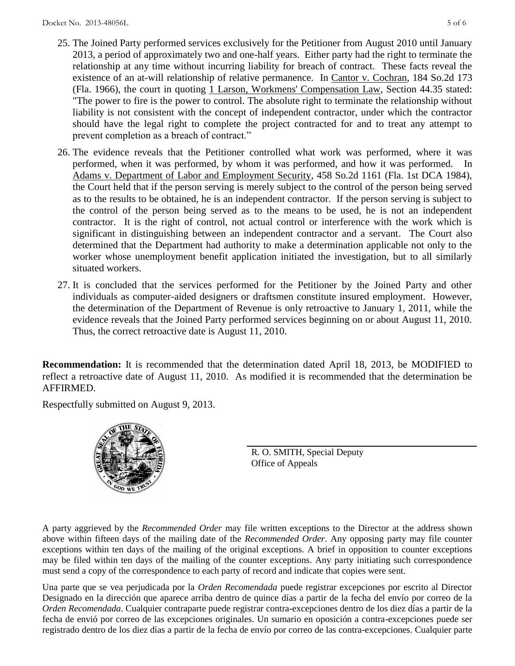- 25. The Joined Party performed services exclusively for the Petitioner from August 2010 until January 2013, a period of approximately two and one-half years. Either party had the right to terminate the relationship at any time without incurring liability for breach of contract. These facts reveal the existence of an at-will relationship of relative permanence. In Cantor v. Cochran, 184 So.2d 173 (Fla. 1966), the court in quoting 1 Larson, Workmens' Compensation Law, Section 44.35 stated: "The power to fire is the power to control. The absolute right to terminate the relationship without liability is not consistent with the concept of independent contractor, under which the contractor should have the legal right to complete the project contracted for and to treat any attempt to prevent completion as a breach of contract."
- 26. The evidence reveals that the Petitioner controlled what work was performed, where it was performed, when it was performed, by whom it was performed, and how it was performed. In Adams v. Department of Labor and Employment Security, 458 So.2d 1161 (Fla. 1st DCA 1984), the Court held that if the person serving is merely subject to the control of the person being served as to the results to be obtained, he is an independent contractor. If the person serving is subject to the control of the person being served as to the means to be used, he is not an independent contractor. It is the right of control, not actual control or interference with the work which is significant in distinguishing between an independent contractor and a servant. The Court also determined that the Department had authority to make a determination applicable not only to the worker whose unemployment benefit application initiated the investigation, but to all similarly situated workers.
- 27. It is concluded that the services performed for the Petitioner by the Joined Party and other individuals as computer-aided designers or draftsmen constitute insured employment. However, the determination of the Department of Revenue is only retroactive to January 1, 2011, while the evidence reveals that the Joined Party performed services beginning on or about August 11, 2010. Thus, the correct retroactive date is August 11, 2010.

**Recommendation:** It is recommended that the determination dated April 18, 2013, be MODIFIED to reflect a retroactive date of August 11, 2010. As modified it is recommended that the determination be AFFIRMED.

Respectfully submitted on August 9, 2013.



R. O. SMITH, Special Deputy Office of Appeals

A party aggrieved by the *Recommended Order* may file written exceptions to the Director at the address shown above within fifteen days of the mailing date of the *Recommended Order*. Any opposing party may file counter exceptions within ten days of the mailing of the original exceptions. A brief in opposition to counter exceptions may be filed within ten days of the mailing of the counter exceptions. Any party initiating such correspondence must send a copy of the correspondence to each party of record and indicate that copies were sent.

Una parte que se vea perjudicada por la *Orden Recomendada* puede registrar excepciones por escrito al Director Designado en la dirección que aparece arriba dentro de quince días a partir de la fecha del envío por correo de la *Orden Recomendada*. Cualquier contraparte puede registrar contra-excepciones dentro de los diez días a partir de la fecha de envió por correo de las excepciones originales. Un sumario en oposición a contra-excepciones puede ser registrado dentro de los diez días a partir de la fecha de envío por correo de las contra-excepciones. Cualquier parte